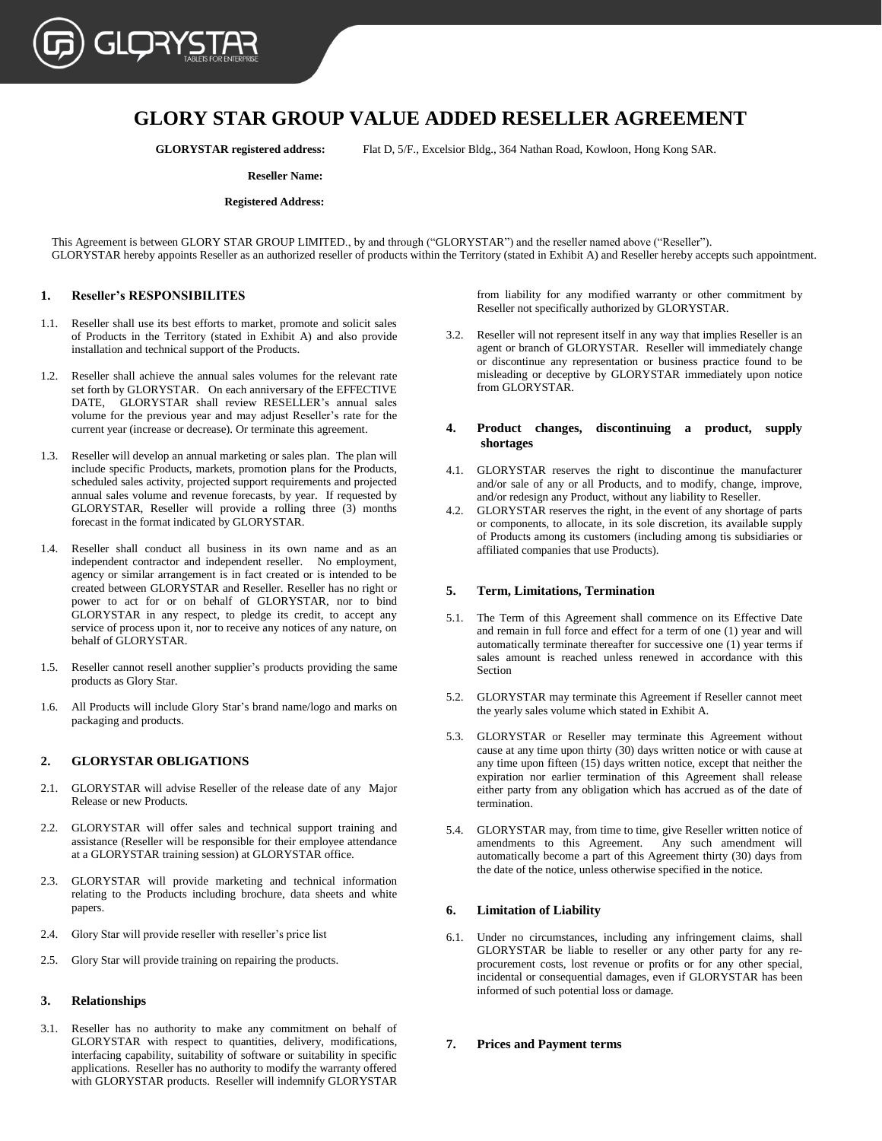

## **GLORY STAR GROUP VALUE ADDED RESELLER AGREEMENT**

**GLORYSTAR registered address:** Flat D, 5/F., Excelsior Bldg., 364 Nathan Road, Kowloon, Hong Kong SAR.

#### **Reseller Name:**

#### **Registered Address:**

This Agreement is between GLORY STAR GROUP LIMITED., by and through ("GLORYSTAR") and the reseller named above ("Reseller"). GLORYSTAR hereby appoints Reseller as an authorized reseller of products within the Territory (stated in Exhibit A) and Reseller hereby accepts such appointment.

#### **1. Reseller's RESPONSIBILITES**

- 1.1. Reseller shall use its best efforts to market, promote and solicit sales of Products in the Territory (stated in Exhibit A) and also provide installation and technical support of the Products.
- 1.2. Reseller shall achieve the annual sales volumes for the relevant rate set forth by GLORYSTAR. On each anniversary of the EFFECTIVE DATE, GLORYSTAR shall review RESELLER's annual sales volume for the previous year and may adjust Reseller's rate for the current year (increase or decrease). Or terminate this agreement.
- 1.3. Reseller will develop an annual marketing or sales plan. The plan will include specific Products, markets, promotion plans for the Products, scheduled sales activity, projected support requirements and projected annual sales volume and revenue forecasts, by year. If requested by GLORYSTAR, Reseller will provide a rolling three (3) months forecast in the format indicated by GLORYSTAR.
- 1.4. Reseller shall conduct all business in its own name and as an independent contractor and independent reseller. No employment, agency or similar arrangement is in fact created or is intended to be created between GLORYSTAR and Reseller. Reseller has no right or power to act for or on behalf of GLORYSTAR, nor to bind GLORYSTAR in any respect, to pledge its credit, to accept any service of process upon it, nor to receive any notices of any nature, on behalf of GLORYSTAR.
- 1.5. Reseller cannot resell another supplier's products providing the same products as Glory Star.
- 1.6. All Products will include Glory Star's brand name/logo and marks on packaging and products.

## **2. GLORYSTAR OBLIGATIONS**

- 2.1. GLORYSTAR will advise Reseller of the release date of any Major Release or new Products.
- 2.2. GLORYSTAR will offer sales and technical support training and assistance (Reseller will be responsible for their employee attendance at a GLORYSTAR training session) at GLORYSTAR office.
- 2.3. GLORYSTAR will provide marketing and technical information relating to the Products including brochure, data sheets and white papers.
- 2.4. Glory Star will provide reseller with reseller's price list
- 2.5. Glory Star will provide training on repairing the products.

#### **3. Relationships**

3.1. Reseller has no authority to make any commitment on behalf of GLORYSTAR with respect to quantities, delivery, modifications, interfacing capability, suitability of software or suitability in specific applications. Reseller has no authority to modify the warranty offered with GLORYSTAR products. Reseller will indemnify GLORYSTAR

from liability for any modified warranty or other commitment by Reseller not specifically authorized by GLORYSTAR.

3.2. Reseller will not represent itself in any way that implies Reseller is an agent or branch of GLORYSTAR. Reseller will immediately change or discontinue any representation or business practice found to be misleading or deceptive by GLORYSTAR immediately upon notice from GLORYSTAR.

### **4. Product changes, discontinuing a product, supply shortages**

- 4.1. GLORYSTAR reserves the right to discontinue the manufacturer and/or sale of any or all Products, and to modify, change, improve, and/or redesign any Product, without any liability to Reseller.
- 4.2. GLORYSTAR reserves the right, in the event of any shortage of parts or components, to allocate, in its sole discretion, its available supply of Products among its customers (including among tis subsidiaries or affiliated companies that use Products).

#### **5. Term, Limitations, Termination**

- 5.1. The Term of this Agreement shall commence on its Effective Date and remain in full force and effect for a term of one (1) year and will automatically terminate thereafter for successive one (1) year terms if sales amount is reached unless renewed in accordance with this Section
- 5.2. GLORYSTAR may terminate this Agreement if Reseller cannot meet the yearly sales volume which stated in Exhibit A.
- 5.3. GLORYSTAR or Reseller may terminate this Agreement without cause at any time upon thirty (30) days written notice or with cause at any time upon fifteen (15) days written notice, except that neither the expiration nor earlier termination of this Agreement shall release either party from any obligation which has accrued as of the date of termination.
- 5.4. GLORYSTAR may, from time to time, give Reseller written notice of amendments to this Agreement. Any such amendment will automatically become a part of this Agreement thirty (30) days from the date of the notice, unless otherwise specified in the notice.

#### **6. Limitation of Liability**

6.1. Under no circumstances, including any infringement claims, shall GLORYSTAR be liable to reseller or any other party for any reprocurement costs, lost revenue or profits or for any other special, incidental or consequential damages, even if GLORYSTAR has been informed of such potential loss or damage.

## **7. Prices and Payment terms**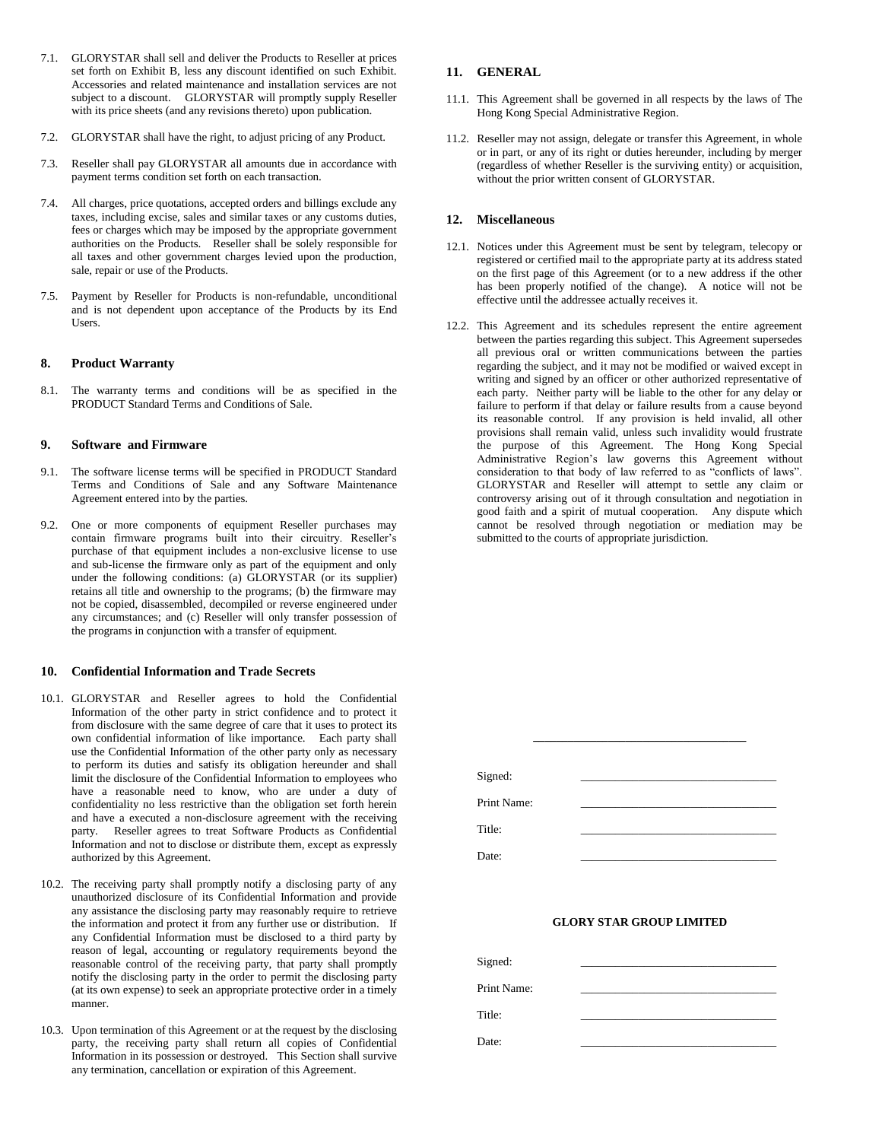- 7.1. GLORYSTAR shall sell and deliver the Products to Reseller at prices set forth on Exhibit B, less any discount identified on such Exhibit. Accessories and related maintenance and installation services are not subject to a discount. GLORYSTAR will promptly supply Reseller with its price sheets (and any revisions thereto) upon publication.
- 7.2. GLORYSTAR shall have the right, to adjust pricing of any Product.
- 7.3. Reseller shall pay GLORYSTAR all amounts due in accordance with payment terms condition set forth on each transaction.
- 7.4. All charges, price quotations, accepted orders and billings exclude any taxes, including excise, sales and similar taxes or any customs duties, fees or charges which may be imposed by the appropriate government authorities on the Products. Reseller shall be solely responsible for all taxes and other government charges levied upon the production, sale, repair or use of the Products.
- 7.5. Payment by Reseller for Products is non-refundable, unconditional and is not dependent upon acceptance of the Products by its End Users.

#### **8. Product Warranty**

8.1. The warranty terms and conditions will be as specified in the PRODUCT Standard Terms and Conditions of Sale.

## **9. Software and Firmware**

- 9.1. The software license terms will be specified in PRODUCT Standard Terms and Conditions of Sale and any Software Maintenance Agreement entered into by the parties.
- 9.2. One or more components of equipment Reseller purchases may contain firmware programs built into their circuitry. Reseller's purchase of that equipment includes a non-exclusive license to use and sub-license the firmware only as part of the equipment and only under the following conditions: (a) GLORYSTAR (or its supplier) retains all title and ownership to the programs; (b) the firmware may not be copied, disassembled, decompiled or reverse engineered under any circumstances; and (c) Reseller will only transfer possession of the programs in conjunction with a transfer of equipment.

#### **10. Confidential Information and Trade Secrets**

- 10.1. GLORYSTAR and Reseller agrees to hold the Confidential Information of the other party in strict confidence and to protect it from disclosure with the same degree of care that it uses to protect its own confidential information of like importance. Each party shall use the Confidential Information of the other party only as necessary to perform its duties and satisfy its obligation hereunder and shall limit the disclosure of the Confidential Information to employees who have a reasonable need to know, who are under a duty of confidentiality no less restrictive than the obligation set forth herein and have a executed a non-disclosure agreement with the receiving party. Reseller agrees to treat Software Products as Confidential Information and not to disclose or distribute them, except as expressly authorized by this Agreement.
- 10.2. The receiving party shall promptly notify a disclosing party of any unauthorized disclosure of its Confidential Information and provide any assistance the disclosing party may reasonably require to retrieve the information and protect it from any further use or distribution. If any Confidential Information must be disclosed to a third party by reason of legal, accounting or regulatory requirements beyond the reasonable control of the receiving party, that party shall promptly notify the disclosing party in the order to permit the disclosing party (at its own expense) to seek an appropriate protective order in a timely manner.
- 10.3. Upon termination of this Agreement or at the request by the disclosing party, the receiving party shall return all copies of Confidential Information in its possession or destroyed. This Section shall survive any termination, cancellation or expiration of this Agreement.

## **11. GENERAL**

- 11.1. This Agreement shall be governed in all respects by the laws of The Hong Kong Special Administrative Region.
- 11.2. Reseller may not assign, delegate or transfer this Agreement, in whole or in part, or any of its right or duties hereunder, including by merger (regardless of whether Reseller is the surviving entity) or acquisition, without the prior written consent of GLORYSTAR.

## **12. Miscellaneous**

- 12.1. Notices under this Agreement must be sent by telegram, telecopy or registered or certified mail to the appropriate party at its address stated on the first page of this Agreement (or to a new address if the other has been properly notified of the change). A notice will not be effective until the addressee actually receives it.
- 12.2. This Agreement and its schedules represent the entire agreement between the parties regarding this subject. This Agreement supersedes all previous oral or written communications between the parties regarding the subject, and it may not be modified or waived except in writing and signed by an officer or other authorized representative of each party. Neither party will be liable to the other for any delay or failure to perform if that delay or failure results from a cause beyond its reasonable control. If any provision is held invalid, all other provisions shall remain valid, unless such invalidity would frustrate the purpose of this Agreement. The Hong Kong Special Administrative Region's law governs this Agreement without consideration to that body of law referred to as "conflicts of laws". GLORYSTAR and Reseller will attempt to settle any claim or controversy arising out of it through consultation and negotiation in good faith and a spirit of mutual cooperation. Any dispute which cannot be resolved through negotiation or mediation may be submitted to the courts of appropriate jurisdiction.

| Signed:     |  |  |
|-------------|--|--|
| Print Name: |  |  |
| Title:      |  |  |
| Date:       |  |  |

**\_\_\_\_\_\_\_\_\_\_\_\_\_\_\_\_\_\_\_\_\_\_\_\_\_\_\_\_\_\_\_\_\_\_\_\_\_**

## **GLORY STAR GROUP LIMITED**

| Signed:     |  |
|-------------|--|
| Print Name: |  |
| Title:      |  |
| Date:       |  |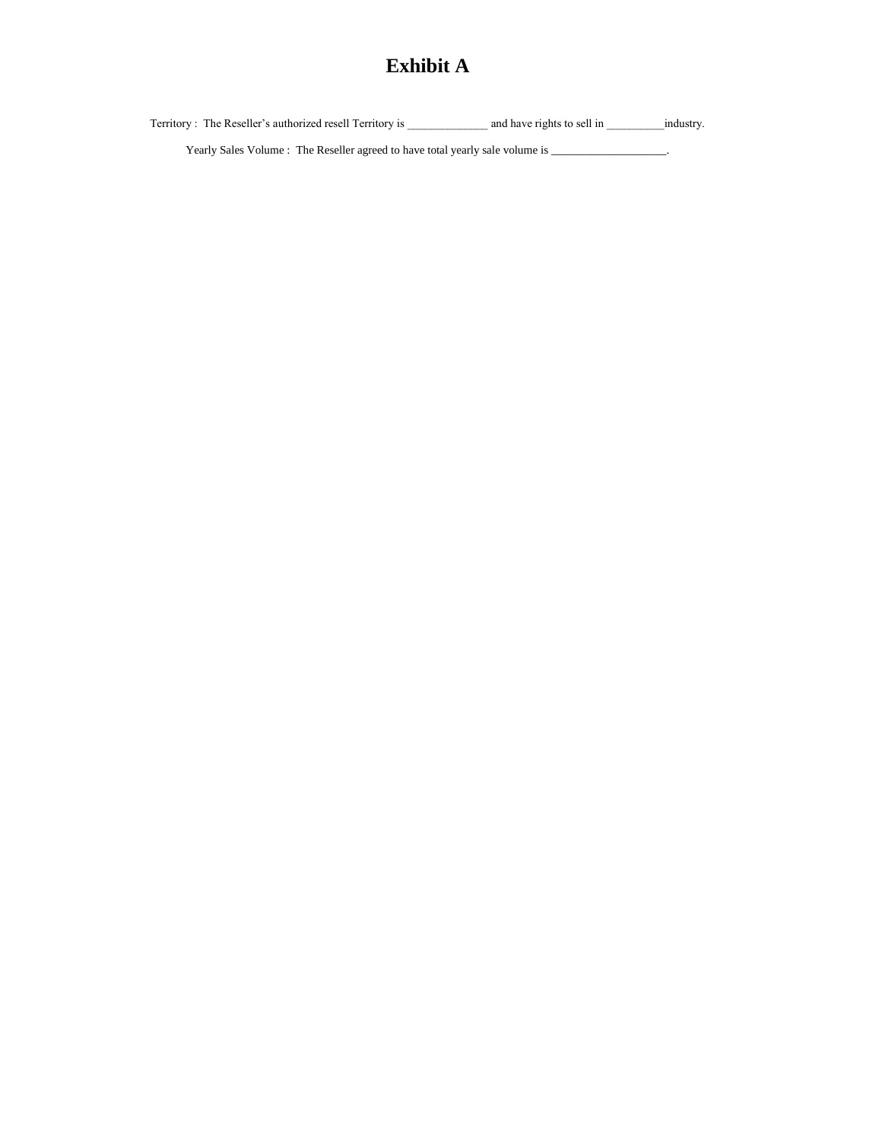# **Exhibit A**

Territory : The Reseller's authorized resell Territory is \_\_\_\_\_\_\_\_\_\_\_\_\_\_\_\_\_\_\_\_\_\_\_ and have rights to sell in \_\_\_\_\_\_\_\_\_\_\_\_\_\_industry.

Yearly Sales Volume : The Reseller agreed to have total yearly sale volume is \_\_\_\_\_\_\_\_\_\_\_\_\_\_\_\_\_\_\_.